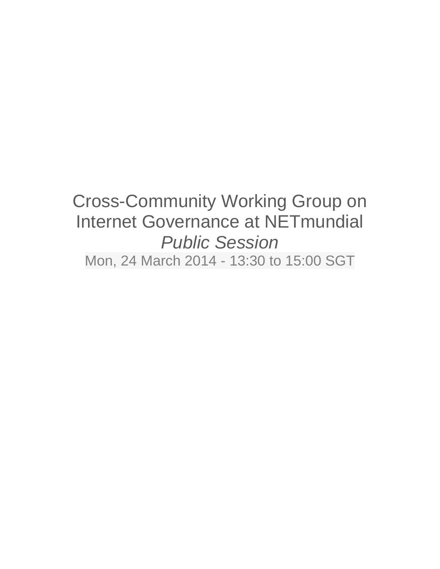# Cross-Community Working Group on Internet Governance at NETmundial *Public Session* Mon, 24 March 2014 - 13:30 to 15:00 SGT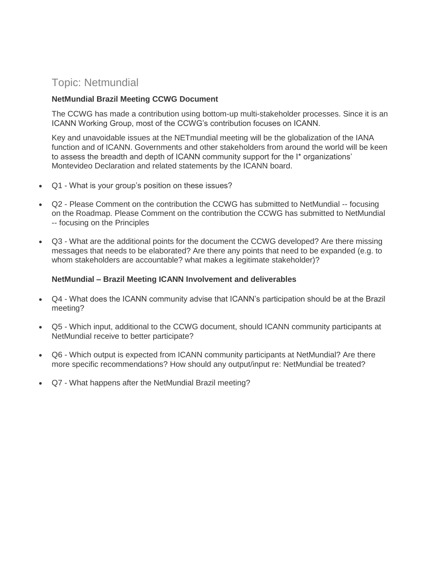### Topic: Netmundial

#### **NetMundial Brazil Meeting CCWG Document**

The CCWG has made a contribution using bottom-up multi-stakeholder processes. Since it is an ICANN Working Group, most of the CCWG's contribution focuses on ICANN.

Key and unavoidable issues at the NETmundial meeting will be the globalization of the IANA function and of ICANN. Governments and other stakeholders from around the world will be keen to assess the breadth and depth of ICANN community support for the I\* organizations' Montevideo Declaration and related statements by the ICANN board.

- Q1 What is your group's position on these issues?
- Q2 Please Comment on the contribution the CCWG has submitted to NetMundial -- focusing on the Roadmap. Please Comment on the contribution the CCWG has submitted to NetMundial -- focusing on the Principles
- Q3 What are the additional points for the document the CCWG developed? Are there missing messages that needs to be elaborated? Are there any points that need to be expanded (e.g. to whom stakeholders are accountable? what makes a legitimate stakeholder)?

#### **NetMundial – Brazil Meeting ICANN Involvement and deliverables**

- Q4 What does the ICANN community advise that ICANN's participation should be at the Brazil meeting?
- Q5 Which input, additional to the CCWG document, should ICANN community participants at NetMundial receive to better participate?
- Q6 Which output is expected from ICANN community participants at NetMundial? Are there more specific recommendations? How should any output/input re: NetMundial be treated?
- Q7 What happens after the NetMundial Brazil meeting?